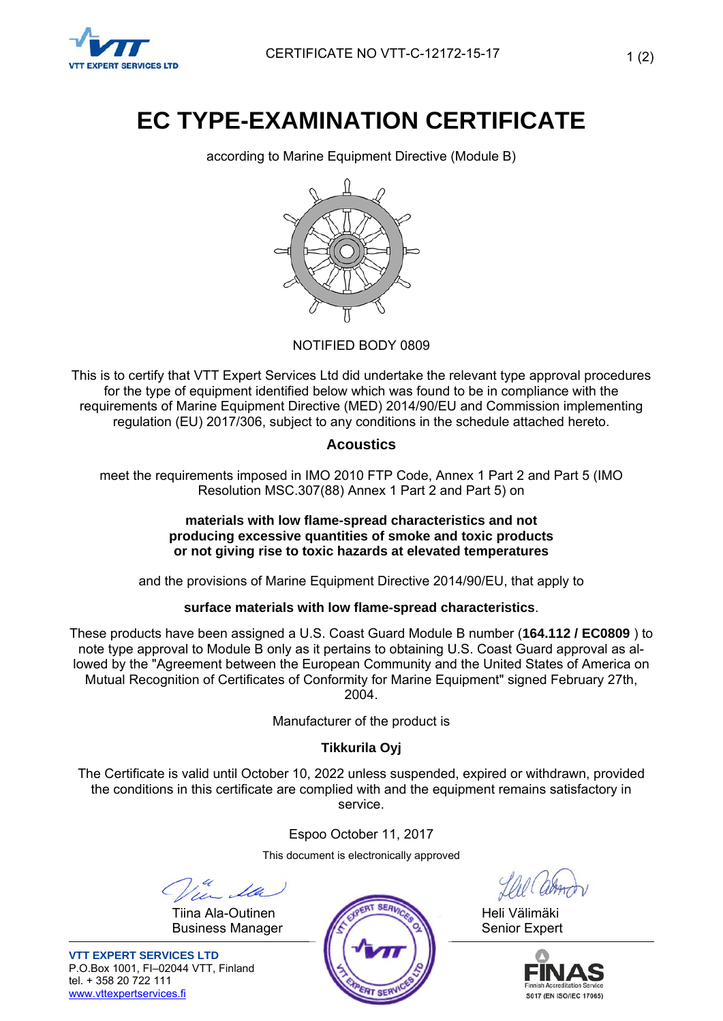

# **EC TYPE-EXAMINATION CERTIFICATE**

according to Marine Equipment Directive (Module B)



## NOTIFIED BODY 0809

This is to certify that VTT Expert Services Ltd did undertake the relevant type approval procedures for the type of equipment identified below which was found to be in compliance with the requirements of Marine Equipment Directive (MED) 2014/90/EU and Commission implementing regulation (EU) 2017/306, subject to any conditions in the schedule attached hereto.

## **Acoustics**

meet the requirements imposed in IMO 2010 FTP Code, Annex 1 Part 2 and Part 5 (IMO Resolution MSC.307(88) Annex 1 Part 2 and Part 5) on

#### **materials with low flame-spread characteristics and not producing excessive quantities of smoke and toxic products or not giving rise to toxic hazards at elevated temperatures**

and the provisions of Marine Equipment Directive 2014/90/EU, that apply to

## **surface materials with low flame-spread characteristics**.

These products have been assigned a U.S. Coast Guard Module B number (**164.112 / EC0809** ) to note type approval to Module B only as it pertains to obtaining U.S. Coast Guard approval as allowed by the "Agreement between the European Community and the United States of America on Mutual Recognition of Certificates of Conformity for Marine Equipment" signed February 27th, 2004.

Manufacturer of the product is

# **Tikkurila Oyj**

The Certificate is valid until October 10, 2022 unless suspended, expired or withdrawn, provided the conditions in this certificate are complied with and the equipment remains satisfactory in service.

Espoo October 11, 2017

This document is electronically approved





**VTT EXPERT SERVICES LTD** P.O.Box 1001, FI–02044 VTT, Finland tel. + 358 20 722 111 www.vttexpertservices.fi